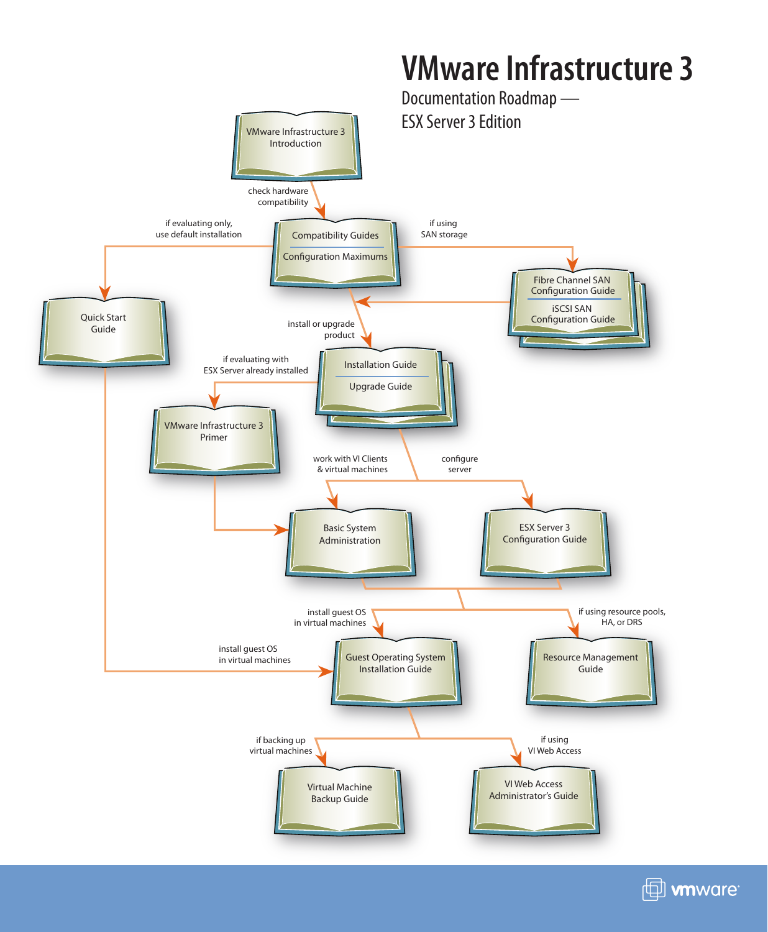



 $\boxplus$  wware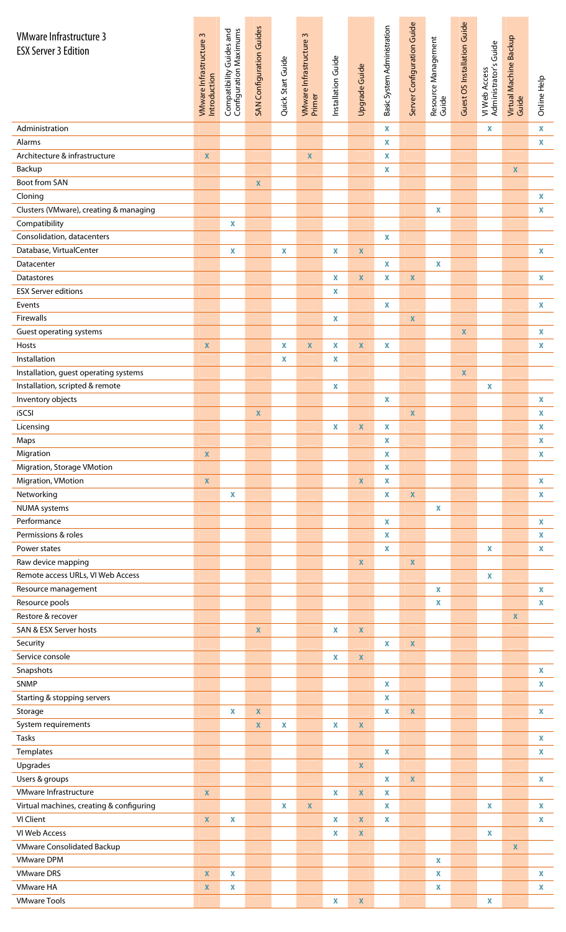| <b>VMware Infrastructure 3</b>                                           |                         | Compatibility Guides and<br>Configuration Maximums | SAN Configuration Guides |                   |                                   |                    |                    | Basic System Administration | Server Configuration Guide |                              | Guest OS Installation Guide |                                        |                                 |                                          |
|--------------------------------------------------------------------------|-------------------------|----------------------------------------------------|--------------------------|-------------------|-----------------------------------|--------------------|--------------------|-----------------------------|----------------------------|------------------------------|-----------------------------|----------------------------------------|---------------------------------|------------------------------------------|
| <b>ESX Server 3 Edition</b>                                              | VMware Infrastructure 3 |                                                    |                          |                   | VMware Infrastructure 3<br>Primer |                    |                    |                             |                            | Resource Management<br>Guide |                             | VI Web Access<br>Administrator's Guide | Virtual Machine Backup<br>Guide |                                          |
|                                                                          |                         |                                                    |                          | Quick Start Guide |                                   | Installation Guide | Upgrade Guide      |                             |                            |                              |                             |                                        |                                 |                                          |
|                                                                          | Introduction            |                                                    |                          |                   |                                   |                    |                    |                             |                            |                              |                             |                                        |                                 | Online Help                              |
|                                                                          |                         |                                                    |                          |                   |                                   |                    |                    |                             |                            |                              |                             |                                        |                                 |                                          |
| Administration                                                           |                         |                                                    |                          |                   |                                   |                    |                    | X                           |                            |                              |                             | X                                      |                                 | $\mathbf x$                              |
| Alarms<br>Architecture & infrastructure                                  | $\pmb{\mathsf{X}}$      |                                                    |                          |                   | $\pmb{\mathsf{X}}$                |                    |                    | X<br>$\mathbf x$            |                            |                              |                             |                                        |                                 | X                                        |
| Backup                                                                   |                         |                                                    |                          |                   |                                   |                    |                    | $\mathbf x$                 |                            |                              |                             |                                        | $\pmb{\mathsf{X}}$              |                                          |
| Boot from SAN                                                            |                         |                                                    | $\mathbf x$              |                   |                                   |                    |                    |                             |                            |                              |                             |                                        |                                 |                                          |
| Cloning                                                                  |                         |                                                    |                          |                   |                                   |                    |                    |                             |                            |                              |                             |                                        |                                 | $\mathbf x$                              |
| Clusters (VMware), creating & managing                                   |                         |                                                    |                          |                   |                                   |                    |                    |                             |                            | $\boldsymbol{\mathsf{X}}$    |                             |                                        |                                 | $\mathbf x$                              |
| Compatibility                                                            |                         | $\mathbf x$                                        |                          |                   |                                   |                    |                    |                             |                            |                              |                             |                                        |                                 |                                          |
| Consolidation, datacenters<br>Database, VirtualCenter                    |                         | X                                                  |                          | X                 |                                   | X                  | $\pmb{\mathsf{X}}$ | $\mathbf x$                 |                            |                              |                             |                                        |                                 | $\pmb{\mathsf{X}}$                       |
| Datacenter                                                               |                         |                                                    |                          |                   |                                   |                    |                    | $\mathbf x$                 |                            | $\mathbf x$                  |                             |                                        |                                 |                                          |
| Datastores                                                               |                         |                                                    |                          |                   |                                   | X                  | $\mathbf x$        | $\mathbf x$                 | $\pmb{\mathsf{X}}$         |                              |                             |                                        |                                 | $\mathbf x$                              |
| <b>ESX Server editions</b>                                               |                         |                                                    |                          |                   |                                   | X                  |                    |                             |                            |                              |                             |                                        |                                 |                                          |
| Events                                                                   |                         |                                                    |                          |                   |                                   |                    |                    | $\mathbf x$                 |                            |                              |                             |                                        |                                 | $\mathbf{x}$                             |
| Firewalls                                                                |                         |                                                    |                          |                   |                                   | X                  |                    |                             | $\mathbf{x}$               |                              |                             |                                        |                                 |                                          |
| <b>Guest operating systems</b><br>Hosts                                  | $\pmb{\mathsf{X}}$      |                                                    |                          | X                 | $\mathbf x$                       | X                  | $\mathbf x$        | $\mathbf x$                 |                            |                              | $\mathbf x$                 |                                        |                                 | $\mathbf x$<br>$\mathbf x$               |
| Installation                                                             |                         |                                                    |                          | X                 |                                   | X                  |                    |                             |                            |                              |                             |                                        |                                 |                                          |
| Installation, guest operating systems                                    |                         |                                                    |                          |                   |                                   |                    |                    |                             |                            |                              | $\mathbf x$                 |                                        |                                 |                                          |
| Installation, scripted & remote                                          |                         |                                                    |                          |                   |                                   | $\mathbf x$        |                    |                             |                            |                              |                             | X                                      |                                 |                                          |
| Inventory objects                                                        |                         |                                                    |                          |                   |                                   |                    |                    | $\mathbf x$                 |                            |                              |                             |                                        |                                 | $\mathbf x$                              |
| iSCSI                                                                    |                         |                                                    | $\mathbf x$              |                   |                                   |                    |                    |                             | $\pmb{\mathsf{X}}$         |                              |                             |                                        |                                 | X                                        |
| Licensing<br>Maps                                                        |                         |                                                    |                          |                   |                                   | $\mathbf x$        | $\mathbf X$        | X<br>X                      |                            |                              |                             |                                        |                                 | $\pmb{\mathsf{X}}$<br>$\pmb{\mathsf{X}}$ |
| Migration                                                                | $\pmb{\mathsf{X}}$      |                                                    |                          |                   |                                   |                    |                    | $\mathbf x$                 |                            |                              |                             |                                        |                                 | X                                        |
| Migration, Storage VMotion                                               |                         |                                                    |                          |                   |                                   |                    |                    | $\mathbf x$                 |                            |                              |                             |                                        |                                 |                                          |
| Migration, VMotion                                                       | $\mathbf x$             |                                                    |                          |                   |                                   |                    | $\mathbf x$        | X                           |                            |                              |                             |                                        |                                 | X                                        |
| Networking                                                               |                         | X                                                  |                          |                   |                                   |                    |                    | $\mathbf x$                 | $\pmb{\mathsf{X}}$         |                              |                             |                                        |                                 | $\mathbf x$                              |
| <b>NUMA</b> systems                                                      |                         |                                                    |                          |                   |                                   |                    |                    |                             |                            | $\mathbf x$                  |                             |                                        |                                 |                                          |
| Performance<br>Permissions & roles                                       |                         |                                                    |                          |                   |                                   |                    |                    | $\mathbf x$<br>$\mathbf x$  |                            |                              |                             |                                        |                                 | X<br>X                                   |
| Power states                                                             |                         |                                                    |                          |                   |                                   |                    |                    | $\mathbf x$                 |                            |                              |                             | X                                      |                                 | X                                        |
| Raw device mapping                                                       |                         |                                                    |                          |                   |                                   |                    | $\pmb{\mathsf{X}}$ |                             | $\mathbf{x}$               |                              |                             |                                        |                                 |                                          |
| Remote access URLs, VI Web Access                                        |                         |                                                    |                          |                   |                                   |                    |                    |                             |                            |                              |                             | X                                      |                                 |                                          |
| Resource management                                                      |                         |                                                    |                          |                   |                                   |                    |                    |                             |                            | X                            |                             |                                        |                                 | X                                        |
| Resource pools                                                           |                         |                                                    |                          |                   |                                   |                    |                    |                             |                            | $\mathbf x$                  |                             |                                        |                                 | X                                        |
| Restore & recover<br>SAN & ESX Server hosts                              |                         |                                                    | $\pmb{\mathsf{X}}$       |                   |                                   | X                  | $\pmb{\mathsf{X}}$ |                             |                            |                              |                             |                                        | $\pmb{\mathsf{X}}$              |                                          |
| Security                                                                 |                         |                                                    |                          |                   |                                   |                    |                    | X                           | $\pmb{\mathsf{X}}$         |                              |                             |                                        |                                 |                                          |
| Service console                                                          |                         |                                                    |                          |                   |                                   | X                  | $\mathbf{x}$       |                             |                            |                              |                             |                                        |                                 |                                          |
| Snapshots                                                                |                         |                                                    |                          |                   |                                   |                    |                    |                             |                            |                              |                             |                                        |                                 | X                                        |
| SNMP                                                                     |                         |                                                    |                          |                   |                                   |                    |                    | $\mathbf x$                 |                            |                              |                             |                                        |                                 | X                                        |
| Starting & stopping servers<br>Storage                                   |                         |                                                    | $\pmb{\mathsf{X}}$       |                   |                                   |                    |                    | $\mathbf x$<br>X            | $\pmb{\chi}$               |                              |                             |                                        |                                 | X                                        |
| System requirements                                                      |                         | X                                                  | $\mathbf x$              | X                 |                                   | X                  | $\pmb{\mathsf{X}}$ |                             |                            |                              |                             |                                        |                                 |                                          |
| Tasks                                                                    |                         |                                                    |                          |                   |                                   |                    |                    |                             |                            |                              |                             |                                        |                                 | $\mathbf x$                              |
| Templates                                                                |                         |                                                    |                          |                   |                                   |                    |                    | $\mathbf x$                 |                            |                              |                             |                                        |                                 | X                                        |
| Upgrades                                                                 |                         |                                                    |                          |                   |                                   |                    | $\pmb{\mathsf{X}}$ |                             |                            |                              |                             |                                        |                                 |                                          |
| Users & groups                                                           |                         |                                                    |                          |                   |                                   |                    |                    | X                           | $\mathbf{x}$               |                              |                             |                                        |                                 | X                                        |
| <b>VMware Infrastructure</b><br>Virtual machines, creating & configuring | $\mathbf{x}$            |                                                    |                          | X                 | $\mathbf x$                       | $\mathbf{x}$       | $\mathbf{x}$       | $\mathbf x$<br>$\mathbf x$  |                            |                              |                             | X                                      |                                 | X                                        |
| VI Client                                                                | $\pmb{\chi}$            | X                                                  |                          |                   |                                   | $\mathbf x$        | $\mathbf x$        | $\mathbf x$                 |                            |                              |                             |                                        |                                 | X                                        |
| VI Web Access                                                            |                         |                                                    |                          |                   |                                   | X                  | $\mathbf x$        |                             |                            |                              |                             | X                                      |                                 |                                          |
| <b>VMware Consolidated Backup</b>                                        |                         |                                                    |                          |                   |                                   |                    |                    |                             |                            |                              |                             |                                        | X                               |                                          |
| <b>VMware DPM</b>                                                        |                         |                                                    |                          |                   |                                   |                    |                    |                             |                            | $\mathbf x$                  |                             |                                        |                                 |                                          |
| <b>VMware DRS</b>                                                        | $\mathbf{x}$            | X                                                  |                          |                   |                                   |                    |                    |                             |                            | $\mathbf x$                  |                             |                                        |                                 | $\mathbf{x}$                             |
| <b>VMware HA</b><br><b>VMware Tools</b>                                  | $\mathbf{x}$            | $\mathbf x$                                        |                          |                   |                                   | $\mathbf X$        | $\pmb{\mathsf{X}}$ |                             |                            | $\mathbf{x}$                 |                             | $\mathbf x$                            |                                 | X                                        |